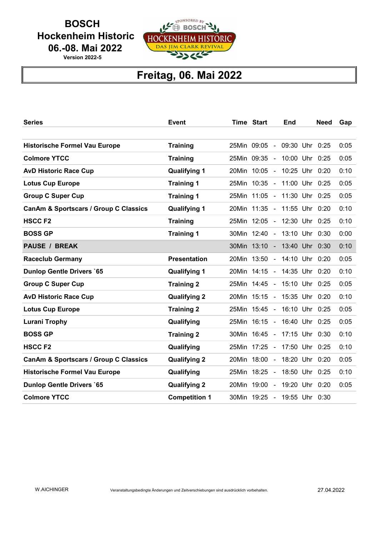**BOSCH**  Hockenheim Historic 06.-08. Mai 2022

Version 2022-5



## Freitag, 06. Mai 2022

| <b>Series</b>                                    | Event                |             | <b>Time Start</b>            |                          | End                | <b>Need</b> | Gap  |
|--------------------------------------------------|----------------------|-------------|------------------------------|--------------------------|--------------------|-------------|------|
|                                                  |                      |             |                              |                          |                    |             |      |
| <b>Historische Formel Vau Europe</b>             | <b>Training</b>      |             | 25Min 09:05                  |                          | - 09:30 Uhr 0:25   |             | 0:05 |
| <b>Colmore YTCC</b>                              | <b>Training</b>      | 25Min 09:35 |                              | $\overline{a}$           | 10:00 Uhr 0:25     |             | 0:05 |
| <b>AvD Historic Race Cup</b>                     | <b>Qualifying 1</b>  |             | 20Min 10:05 -                |                          | 10:25 Uhr 0:20     |             | 0:10 |
| <b>Lotus Cup Europe</b>                          | <b>Training 1</b>    |             | 25Min 10:35 -                |                          | 11:00 Uhr 0:25     |             | 0:05 |
| <b>Group C Super Cup</b>                         | <b>Training 1</b>    | 25Min 11:05 |                              | $\overline{\phantom{0}}$ | 11:30 Uhr 0:25     |             | 0:05 |
| <b>CanAm &amp; Sportscars / Group C Classics</b> | <b>Qualifying 1</b>  |             | 20Min 11:35 - 11:55 Uhr 0:20 |                          |                    |             | 0:10 |
| <b>HSCCF2</b>                                    | <b>Training</b>      |             | 25Min 12:05 -                |                          | 12:30 Uhr 0:25     |             | 0:10 |
| <b>BOSS GP</b>                                   | <b>Training 1</b>    | 30Min 12:40 |                              |                          | $-$ 13:10 Uhr 0:30 |             | 0:00 |
| <b>PAUSE / BREAK</b>                             |                      |             | 30Min 13:10 - 13:40 Uhr 0:30 |                          |                    |             | 0:10 |
| <b>Raceclub Germany</b>                          | <b>Presentation</b>  |             | 20Min 13:50 -                |                          | 14:10 Uhr 0:20     |             | 0:05 |
| <b>Dunlop Gentle Drivers `65</b>                 | <b>Qualifying 1</b>  |             | 20Min 14:15 - 14:35 Uhr 0:20 |                          |                    |             | 0:10 |
| <b>Group C Super Cup</b>                         | <b>Training 2</b>    |             | 25Min 14:45 - 15:10 Uhr 0:25 |                          |                    |             | 0:05 |
| <b>AvD Historic Race Cup</b>                     | <b>Qualifying 2</b>  |             | 20Min 15:15 - 15:35 Uhr 0:20 |                          |                    |             | 0:10 |
| <b>Lotus Cup Europe</b>                          | <b>Training 2</b>    |             | 25Min 15:45 -                |                          | 16:10 Uhr 0:25     |             | 0:05 |
| <b>Lurani Trophy</b>                             | Qualifying           |             | 25Min 16:15 - 16:40 Uhr 0:25 |                          |                    |             | 0:05 |
| <b>BOSS GP</b>                                   | <b>Training 2</b>    |             | 30Min 16:45 - 17:15 Uhr 0:30 |                          |                    |             | 0:10 |
| <b>HSCCF2</b>                                    | Qualifying           |             | 25Min 17:25 -                |                          | 17:50 Uhr 0:25     |             | 0:10 |
| <b>CanAm &amp; Sportscars / Group C Classics</b> | <b>Qualifying 2</b>  | 20Min 18:00 |                              | $\sim$                   | 18:20 Uhr 0:20     |             | 0:05 |
| <b>Historische Formel Vau Europe</b>             | Qualifying           | 25Min       | 18:25                        | $\overline{a}$           | 18:50 Uhr 0:25     |             | 0:10 |
| <b>Dunlop Gentle Drivers `65</b>                 | <b>Qualifying 2</b>  |             | 20Min 19:00 -                |                          | 19:20 Uhr 0:20     |             | 0:05 |
| <b>Colmore YTCC</b>                              | <b>Competition 1</b> |             | 30Min 19:25 - 19:55 Uhr 0:30 |                          |                    |             |      |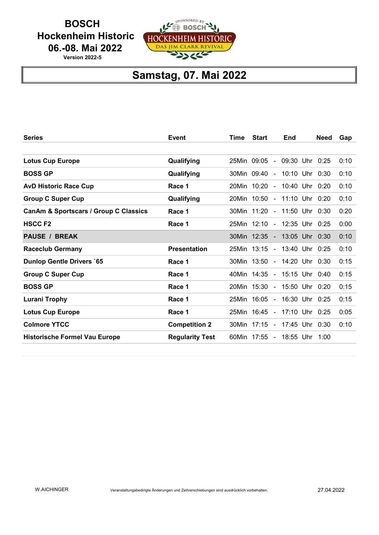**BOSCH**  Hockenheim Historic 06.-08. Mai 2022

Version 2022-5



## Samstag, 07. Mai 2022

| <b>Series</b>                         | Event                  | <b>Time</b> | <b>Start</b>                 | End            | <b>Need</b> | Gap  |
|---------------------------------------|------------------------|-------------|------------------------------|----------------|-------------|------|
|                                       |                        |             |                              |                |             |      |
| <b>Lotus Cup Europe</b>               | Qualifying             |             | 25Min 09:05 - 09:30 Uhr 0:25 |                |             | 0:10 |
| <b>BOSS GP</b>                        | Qualifying             |             | 30Min 09:40 - 10:10 Uhr 0:30 |                |             | 0:10 |
| <b>AvD Historic Race Cup</b>          | Race 1                 |             | 20Min 10:20 -                | 10:40 Uhr 0:20 |             | 0:10 |
| <b>Group C Super Cup</b>              | Qualifying             |             | 20Min 10:50 -                | 11:10 Uhr 0:20 |             | 0:10 |
| CanAm & Sportscars / Group C Classics | Race 1                 |             | 30Min 11:20 - 11:50 Uhr 0:30 |                |             | 0:20 |
| <b>HSCCF2</b>                         | Race 1                 |             | 25Min 12:10 - 12:35 Uhr 0:25 |                |             | 0:00 |
| <b>PAUSE / BREAK</b>                  |                        |             | 30Min 12:35 - 13:05 Uhr 0:30 |                |             | 0:10 |
| <b>Raceclub Germany</b>               | <b>Presentation</b>    |             | 25Min 13:15 -                | 13:40 Uhr 0:25 |             | 0:10 |
| <b>Dunlop Gentle Drivers `65</b>      | Race 1                 |             | 30Min 13:50 - 14:20 Uhr 0:30 |                |             | 0:15 |
| <b>Group C Super Cup</b>              | Race 1                 |             | 40Min 14:35 - 15:15 Uhr 0:40 |                |             | 0:15 |
| <b>BOSS GP</b>                        | Race 1                 |             | 20Min 15:30 -                | 15:50 Uhr 0:20 |             | 0:15 |
| <b>Lurani Trophy</b>                  | Race 1                 |             | 25Min 16:05 - 16:30 Uhr 0:25 |                |             | 0:15 |
| <b>Lotus Cup Europe</b>               | Race 1                 |             | 25Min 16:45 -                | 17:10 Uhr 0:25 |             | 0:05 |
| <b>Colmore YTCC</b>                   | <b>Competition 2</b>   |             | 30Min 17:15 - 17:45 Uhr 0:30 |                |             | 0:10 |
| <b>Historische Formel Vau Europe</b>  | <b>Regularity Test</b> |             | 60Min 17:55 -                | 18:55 Uhr      | 1:00        |      |
|                                       |                        |             |                              |                |             |      |